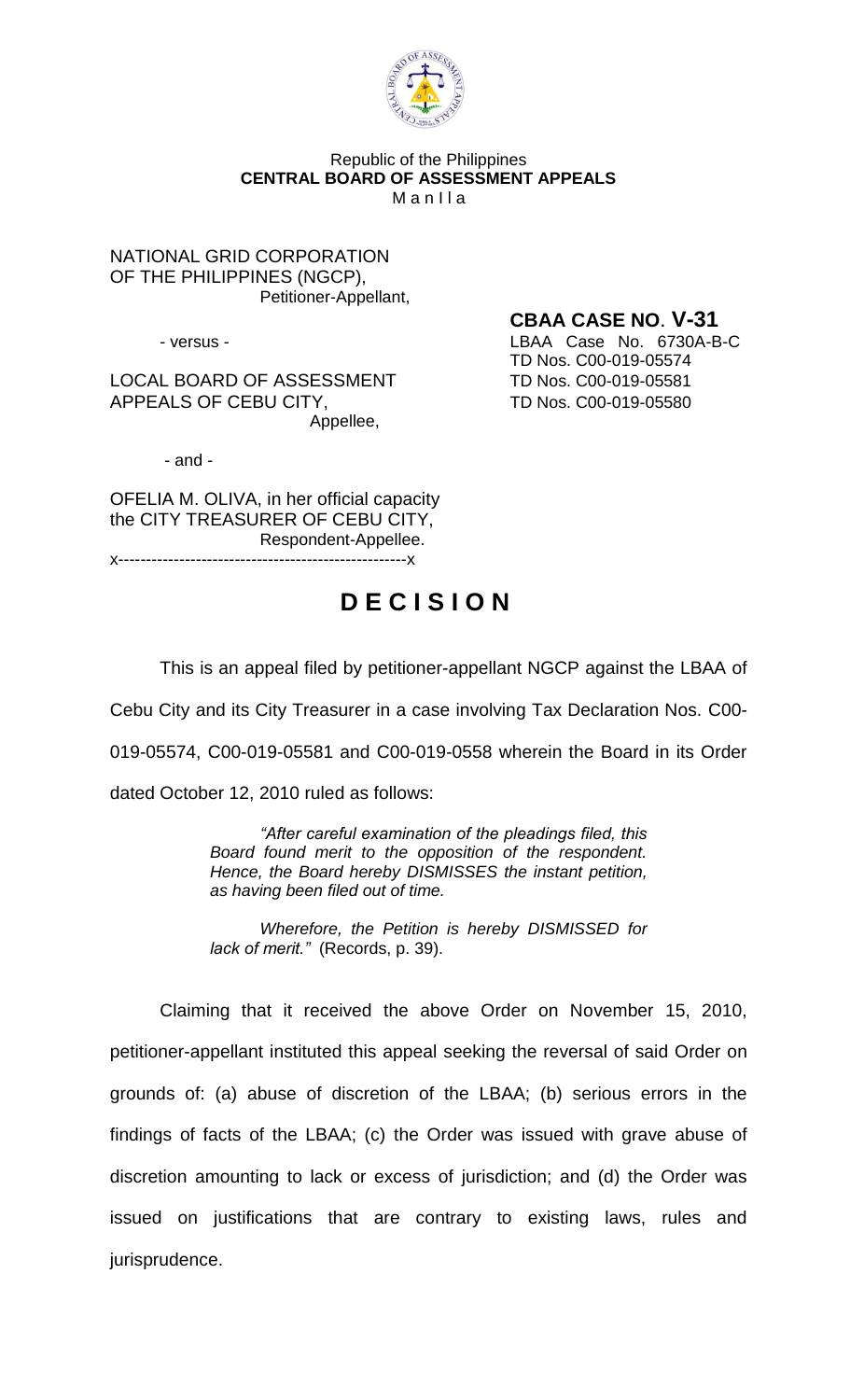

## Republic of the Philippines **CENTRAL BOARD OF ASSESSMENT APPEALS**  $M$  a n  $II$  a

NATIONAL GRID CORPORATION OF THE PHILIPPINES (NGCP), Petitioner-Appellant,

LOCAL BOARD OF ASSESSMENT TD Nos. C00-019-05581 APPEALS OF CEBU CITY, TD Nos. C00-019-05580 Appellee,

**CBAA CASE NO**. **V-31** - versus - LBAA Case No. 6730A-B-C TD Nos. C00-019-05574

- and -

OFELIA M. OLIVA, in her official capacity the CITY TREASURER OF CEBU CITY, Respondent-Appellee. x----------------------------------------------------x

## **D E C I S I O N**

This is an appeal filed by petitioner-appellant NGCP against the LBAA of

Cebu City and its City Treasurer in a case involving Tax Declaration Nos. C00-

019-05574, C00-019-05581 and C00-019-0558 wherein the Board in its Order

dated October 12, 2010 ruled as follows:

*"After careful examination of the pleadings filed, this Board found merit to the opposition of the respondent. Hence, the Board hereby DISMISSES the instant petition, as having been filed out of time.*

*Wherefore, the Petition is hereby DISMISSED for lack of merit."* (Records, p. 39).

Claiming that it received the above Order on November 15, 2010, petitioner-appellant instituted this appeal seeking the reversal of said Order on grounds of: (a) abuse of discretion of the LBAA; (b) serious errors in the findings of facts of the LBAA; (c) the Order was issued with grave abuse of discretion amounting to lack or excess of jurisdiction; and (d) the Order was issued on justifications that are contrary to existing laws, rules and jurisprudence.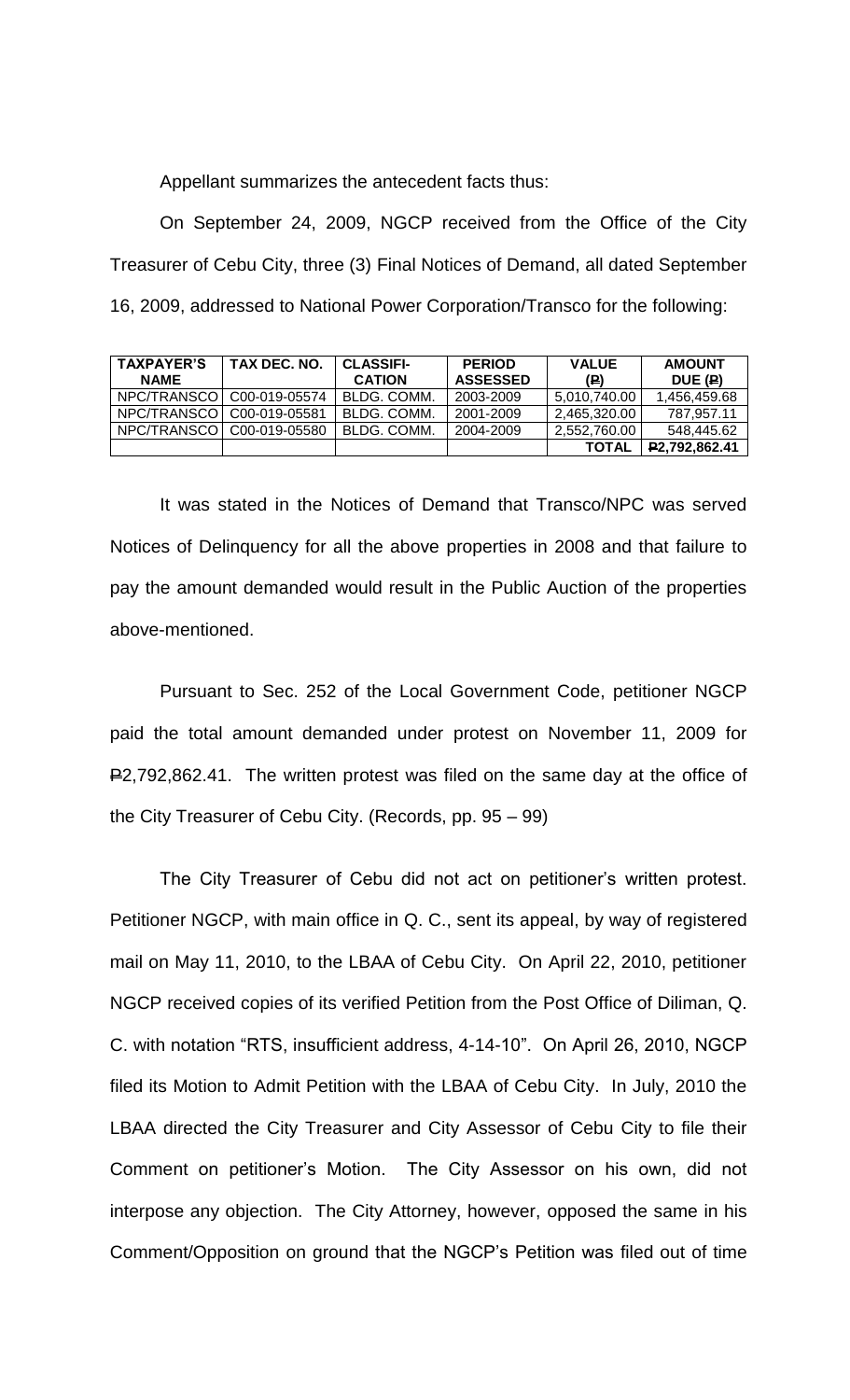Appellant summarizes the antecedent facts thus:

On September 24, 2009, NGCP received from the Office of the City Treasurer of Cebu City, three (3) Final Notices of Demand, all dated September 16, 2009, addressed to National Power Corporation/Transco for the following:

| <b>TAXPAYER'S</b><br><b>NAME</b> | TAX DEC. NO. | <b>CLASSIFI-</b><br><b>CATION</b> | <b>PERIOD</b><br><b>ASSESSED</b> | <b>VALUE</b><br>(P) | <b>AMOUNT</b><br>DUE (P) |
|----------------------------------|--------------|-----------------------------------|----------------------------------|---------------------|--------------------------|
| NPC/TRANSCO   C00-019-05574      |              | BLDG. COMM.                       | 2003-2009                        | 5,010,740.00        | 1,456,459.68             |
| NPC/TRANSCO   C00-019-05581      |              | BLDG. COMM.                       | 2001-2009                        | 2,465,320.00        | 787.957.11               |
| NPC/TRANSCO   C00-019-05580      |              | BLDG. COMM.                       | 2004-2009                        | 2,552,760.00        | 548.445.62               |
|                                  |              |                                   |                                  | <b>TOTAL</b>        | P2,792,862.41            |

It was stated in the Notices of Demand that Transco/NPC was served Notices of Delinquency for all the above properties in 2008 and that failure to pay the amount demanded would result in the Public Auction of the properties above-mentioned.

Pursuant to Sec. 252 of the Local Government Code, petitioner NGCP paid the total amount demanded under protest on November 11, 2009 for P2,792,862.41. The written protest was filed on the same day at the office of the City Treasurer of Cebu City. (Records, pp. 95 – 99)

The City Treasurer of Cebu did not act on petitioner's written protest. Petitioner NGCP, with main office in Q. C., sent its appeal, by way of registered mail on May 11, 2010, to the LBAA of Cebu City. On April 22, 2010, petitioner NGCP received copies of its verified Petition from the Post Office of Diliman, Q. C. with notation "RTS, insufficient address, 4-14-10". On April 26, 2010, NGCP filed its Motion to Admit Petition with the LBAA of Cebu City. In July, 2010 the LBAA directed the City Treasurer and City Assessor of Cebu City to file their Comment on petitioner's Motion. The City Assessor on his own, did not interpose any objection. The City Attorney, however, opposed the same in his Comment/Opposition on ground that the NGCP's Petition was filed out of time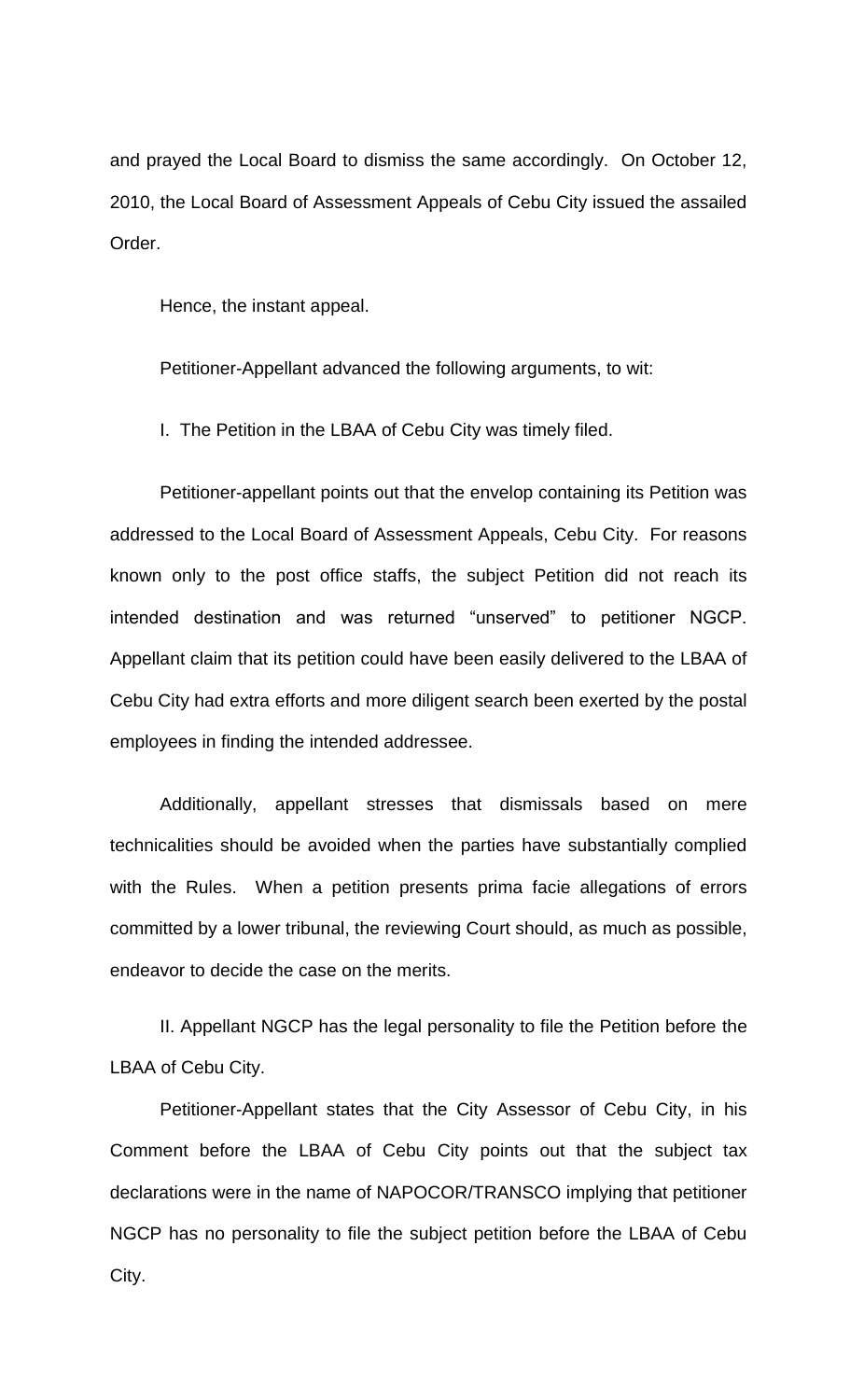and prayed the Local Board to dismiss the same accordingly. On October 12, 2010, the Local Board of Assessment Appeals of Cebu City issued the assailed Order.

Hence, the instant appeal.

Petitioner-Appellant advanced the following arguments, to wit:

I. The Petition in the LBAA of Cebu City was timely filed.

Petitioner-appellant points out that the envelop containing its Petition was addressed to the Local Board of Assessment Appeals, Cebu City. For reasons known only to the post office staffs, the subject Petition did not reach its intended destination and was returned "unserved" to petitioner NGCP. Appellant claim that its petition could have been easily delivered to the LBAA of Cebu City had extra efforts and more diligent search been exerted by the postal employees in finding the intended addressee.

Additionally, appellant stresses that dismissals based on mere technicalities should be avoided when the parties have substantially complied with the Rules. When a petition presents prima facie allegations of errors committed by a lower tribunal, the reviewing Court should, as much as possible, endeavor to decide the case on the merits.

II. Appellant NGCP has the legal personality to file the Petition before the LBAA of Cebu City.

Petitioner-Appellant states that the City Assessor of Cebu City, in his Comment before the LBAA of Cebu City points out that the subject tax declarations were in the name of NAPOCOR/TRANSCO implying that petitioner NGCP has no personality to file the subject petition before the LBAA of Cebu City.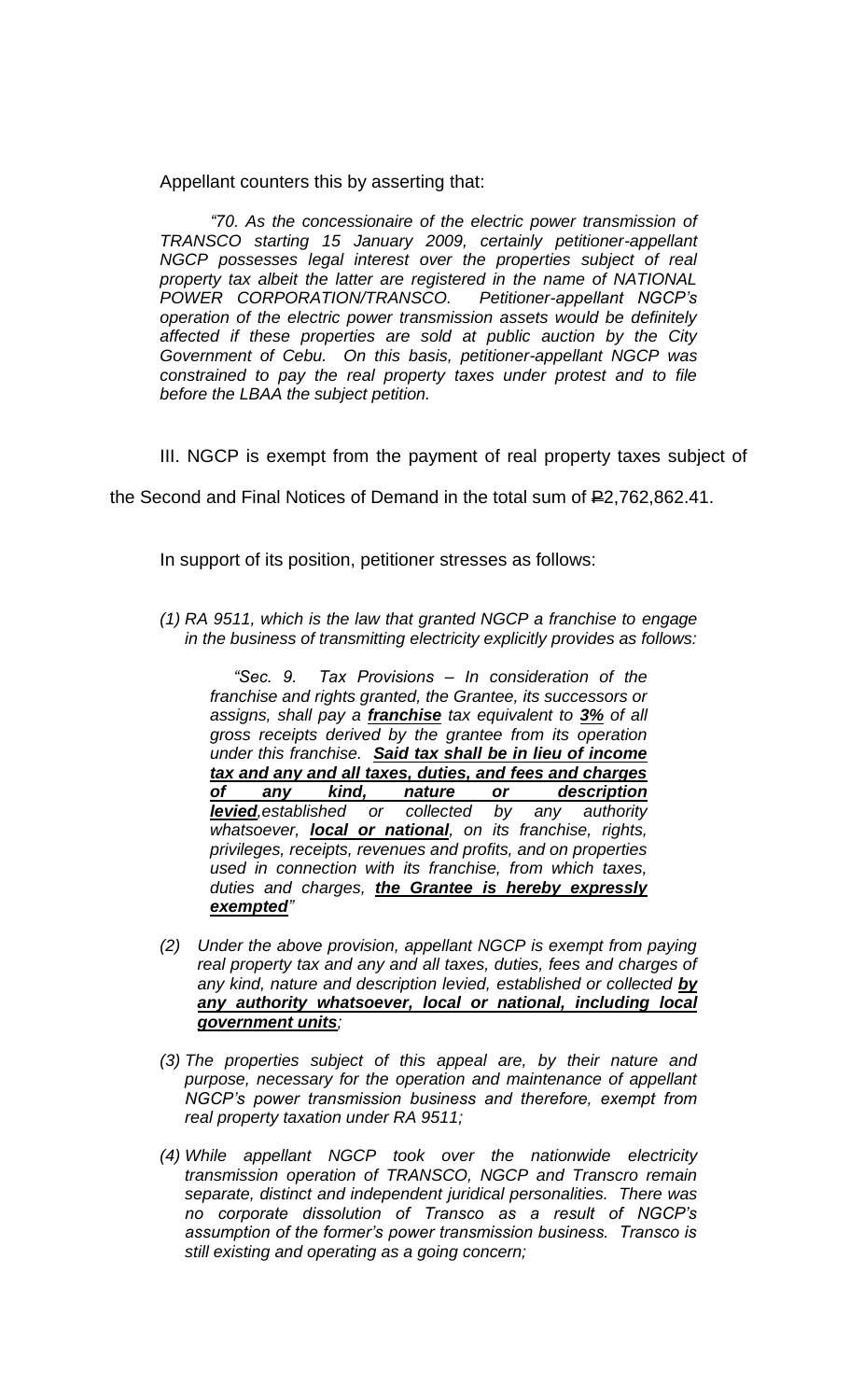Appellant counters this by asserting that:

*"70. As the concessionaire of the electric power transmission of TRANSCO starting 15 January 2009, certainly petitioner-appellant NGCP possesses legal interest over the properties subject of real property tax albeit the latter are registered in the name of NATIONAL POWER CORPORATION/TRANSCO. Petitioner-appellant NGCP's operation of the electric power transmission assets would be definitely affected if these properties are sold at public auction by the City Government of Cebu. On this basis, petitioner-appellant NGCP was constrained to pay the real property taxes under protest and to file before the LBAA the subject petition.*

III. NGCP is exempt from the payment of real property taxes subject of

the Second and Final Notices of Demand in the total sum of  $E$ 2,762,862.41.

In support of its position, petitioner stresses as follows:

*(1) RA 9511, which is the law that granted NGCP a franchise to engage in the business of transmitting electricity explicitly provides as follows:*

 *"Sec. 9. Tax Provisions – In consideration of the franchise and rights granted, the Grantee, its successors or assigns, shall pay a franchise tax equivalent to 3% of all gross receipts derived by the grantee from its operation under this franchise. Said tax shall be in lieu of income tax and any and all taxes, duties, and fees and charges of any kind, nature or description levied,established or collected by any authority whatsoever, local or national, on its franchise, rights, privileges, receipts, revenues and profits, and on properties used in connection with its franchise, from which taxes, duties and charges, the Grantee is hereby expressly exempted"*

- *(2) Under the above provision, appellant NGCP is exempt from paying real property tax and any and all taxes, duties, fees and charges of any kind, nature and description levied, established or collected by any authority whatsoever, local or national, including local government units;*
- *(3) The properties subject of this appeal are, by their nature and purpose, necessary for the operation and maintenance of appellant NGCP's power transmission business and therefore, exempt from real property taxation under RA 9511;*
- *(4) While appellant NGCP took over the nationwide electricity transmission operation of TRANSCO, NGCP and Transcro remain separate, distinct and independent juridical personalities. There was no corporate dissolution of Transco as a result of NGCP's assumption of the former's power transmission business. Transco is still existing and operating as a going concern;*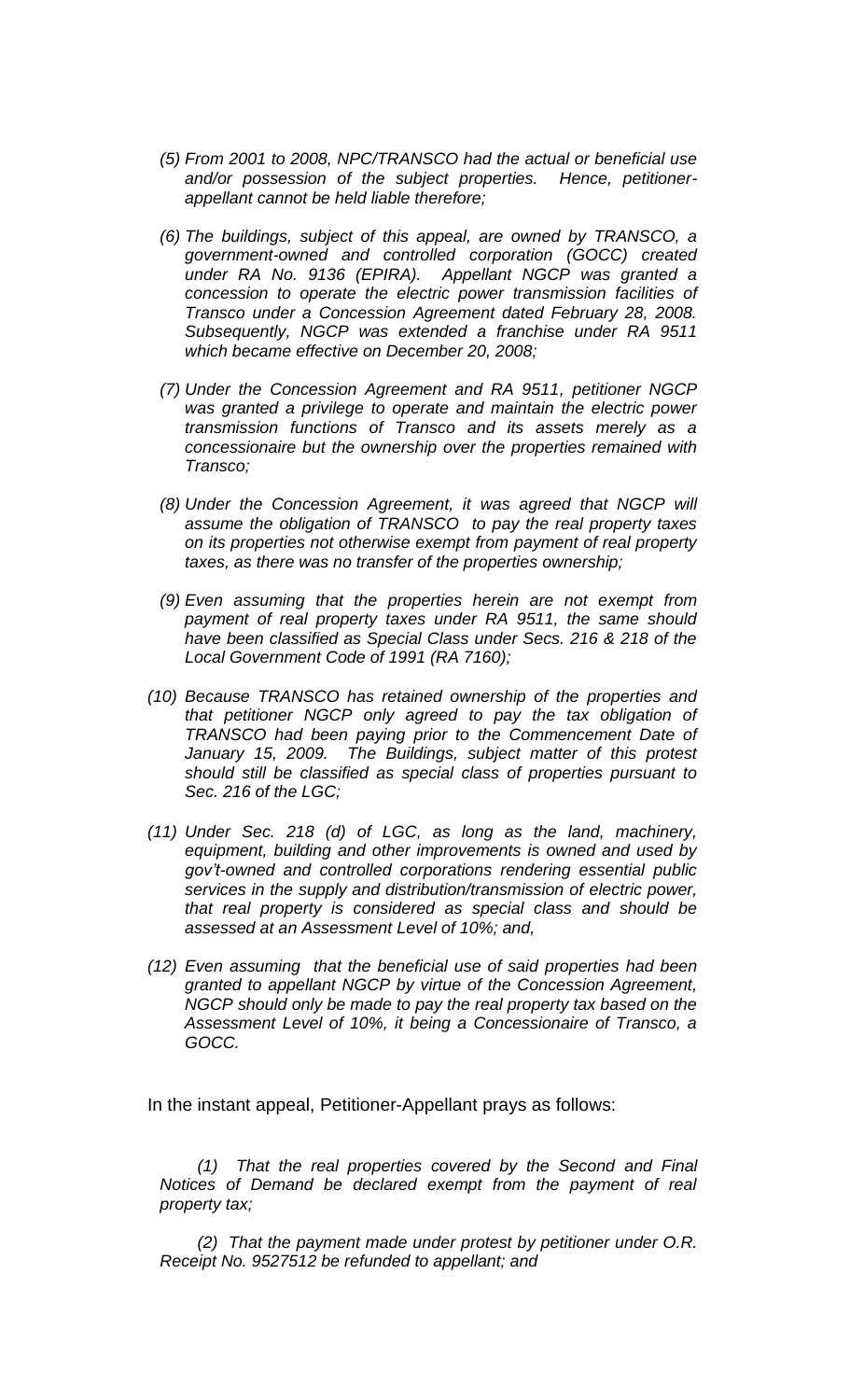- *(5) From 2001 to 2008, NPC/TRANSCO had the actual or beneficial use and/or possession of the subject properties. Hence, petitionerappellant cannot be held liable therefore;*
- *(6) The buildings, subject of this appeal, are owned by TRANSCO, a government-owned and controlled corporation (GOCC) created under RA No. 9136 (EPIRA). Appellant NGCP was granted a concession to operate the electric power transmission facilities of Transco under a Concession Agreement dated February 28, 2008. Subsequently, NGCP was extended a franchise under RA 9511 which became effective on December 20, 2008;*
- *(7) Under the Concession Agreement and RA 9511, petitioner NGCP was granted a privilege to operate and maintain the electric power transmission functions of Transco and its assets merely as a concessionaire but the ownership over the properties remained with Transco;*
- *(8) Under the Concession Agreement, it was agreed that NGCP will assume the obligation of TRANSCO to pay the real property taxes on its properties not otherwise exempt from payment of real property taxes, as there was no transfer of the properties ownership;*
- *(9) Even assuming that the properties herein are not exempt from payment of real property taxes under RA 9511, the same should have been classified as Special Class under Secs. 216 & 218 of the Local Government Code of 1991 (RA 7160);*
- *(10) Because TRANSCO has retained ownership of the properties and that petitioner NGCP only agreed to pay the tax obligation of TRANSCO had been paying prior to the Commencement Date of*  January 15, 2009. The Buildings, subject matter of this protest *should still be classified as special class of properties pursuant to Sec. 216 of the LGC;*
- *(11) Under Sec. 218 (d) of LGC, as long as the land, machinery, equipment, building and other improvements is owned and used by gov't-owned and controlled corporations rendering essential public services in the supply and distribution/transmission of electric power, that real property is considered as special class and should be assessed at an Assessment Level of 10%; and,*
- *(12) Even assuming that the beneficial use of said properties had been granted to appellant NGCP by virtue of the Concession Agreement, NGCP should only be made to pay the real property tax based on the Assessment Level of 10%, it being a Concessionaire of Transco, a GOCC.*

In the instant appeal, Petitioner-Appellant prays as follows:

*(1) That the real properties covered by the Second and Final Notices of Demand be declared exempt from the payment of real property tax;*

*(2) That the payment made under protest by petitioner under O.R. Receipt No. 9527512 be refunded to appellant; and*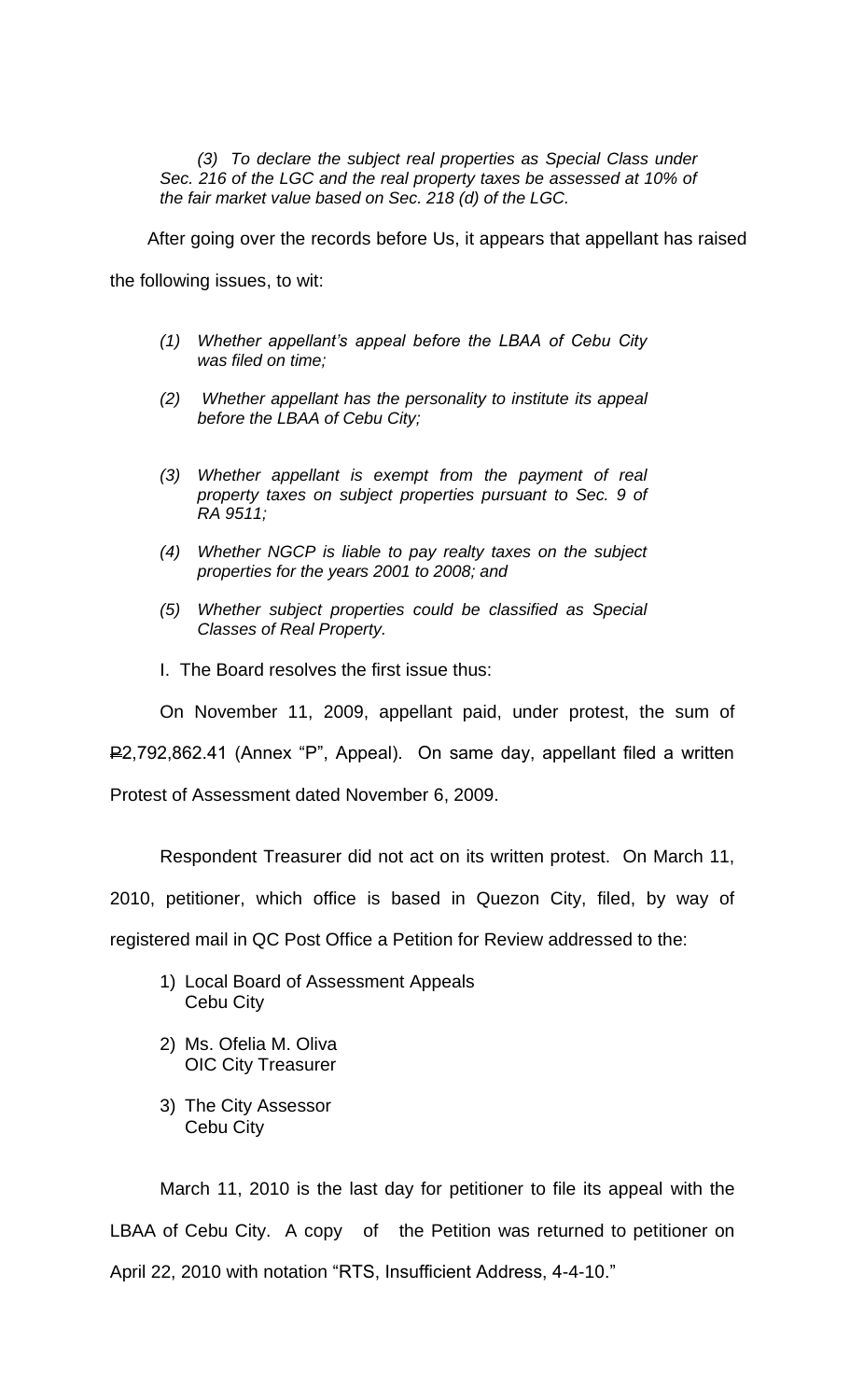*(3) To declare the subject real properties as Special Class under Sec. 216 of the LGC and the real property taxes be assessed at 10% of the fair market value based on Sec. 218 (d) of the LGC.*

After going over the records before Us, it appears that appellant has raised

the following issues, to wit:

- *(1) Whether appellant's appeal before the LBAA of Cebu City was filed on time;*
- *(2) Whether appellant has the personality to institute its appeal before the LBAA of Cebu City;*
- *(3) Whether appellant is exempt from the payment of real property taxes on subject properties pursuant to Sec. 9 of RA 9511;*
- *(4) Whether NGCP is liable to pay realty taxes on the subject properties for the years 2001 to 2008; and*
- *(5) Whether subject properties could be classified as Special Classes of Real Property.*
- I. The Board resolves the first issue thus:

On November 11, 2009, appellant paid, under protest, the sum of

P2,792,862.41 (Annex "P", Appeal). On same day, appellant filed a written

Protest of Assessment dated November 6, 2009.

Respondent Treasurer did not act on its written protest. On March 11,

2010, petitioner, which office is based in Quezon City, filed, by way of

registered mail in QC Post Office a Petition for Review addressed to the:

- 1) Local Board of Assessment Appeals Cebu City
- 2) Ms. Ofelia M. Oliva OIC City Treasurer
- 3) The City Assessor Cebu City

March 11, 2010 is the last day for petitioner to file its appeal with the LBAA of Cebu City. A copy of the Petition was returned to petitioner on April 22, 2010 with notation "RTS, Insufficient Address, 4-4-10."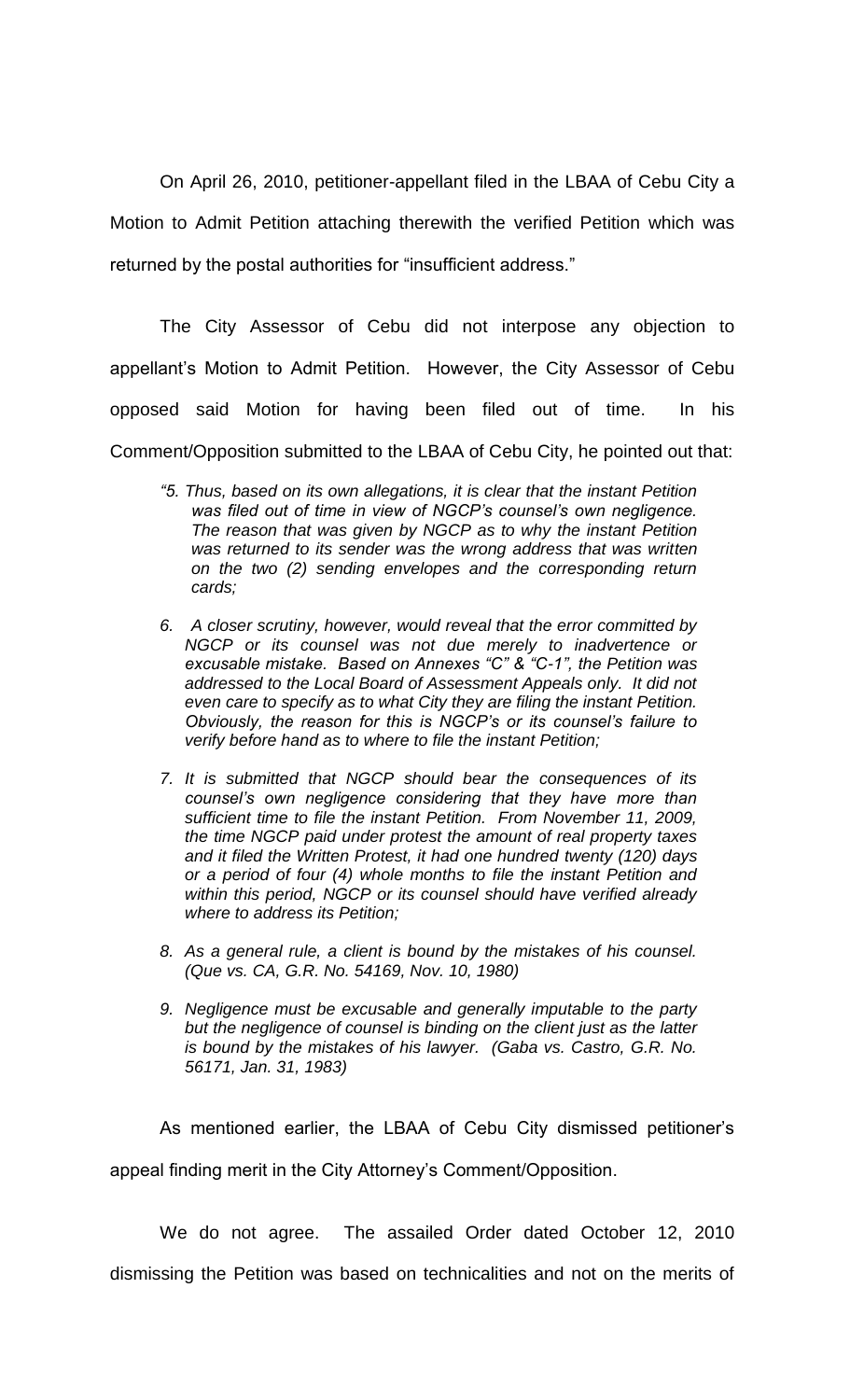On April 26, 2010, petitioner-appellant filed in the LBAA of Cebu City a Motion to Admit Petition attaching therewith the verified Petition which was returned by the postal authorities for "insufficient address."

The City Assessor of Cebu did not interpose any objection to appellant's Motion to Admit Petition. However, the City Assessor of Cebu opposed said Motion for having been filed out of time. In his Comment/Opposition submitted to the LBAA of Cebu City, he pointed out that:

- *"5. Thus, based on its own allegations, it is clear that the instant Petition was filed out of time in view of NGCP's counsel's own negligence. The reason that was given by NGCP as to why the instant Petition was returned to its sender was the wrong address that was written on the two (2) sending envelopes and the corresponding return cards;*
- *6. A closer scrutiny, however, would reveal that the error committed by NGCP or its counsel was not due merely to inadvertence or excusable mistake. Based on Annexes "C" & "C-1", the Petition was addressed to the Local Board of Assessment Appeals only. It did not even care to specify as to what City they are filing the instant Petition. Obviously, the reason for this is NGCP's or its counsel's failure to verify before hand as to where to file the instant Petition;*
- *7. It is submitted that NGCP should bear the consequences of its counsel's own negligence considering that they have more than sufficient time to file the instant Petition. From November 11, 2009, the time NGCP paid under protest the amount of real property taxes and it filed the Written Protest, it had one hundred twenty (120) days or a period of four (4) whole months to file the instant Petition and within this period, NGCP or its counsel should have verified already where to address its Petition;*
- *8. As a general rule, a client is bound by the mistakes of his counsel. (Que vs. CA, G.R. No. 54169, Nov. 10, 1980)*
- *9. Negligence must be excusable and generally imputable to the party but the negligence of counsel is binding on the client just as the latter is bound by the mistakes of his lawyer. (Gaba vs. Castro, G.R. No. 56171, Jan. 31, 1983)*

As mentioned earlier, the LBAA of Cebu City dismissed petitioner's appeal finding merit in the City Attorney's Comment/Opposition.

We do not agree. The assailed Order dated October 12, 2010 dismissing the Petition was based on technicalities and not on the merits of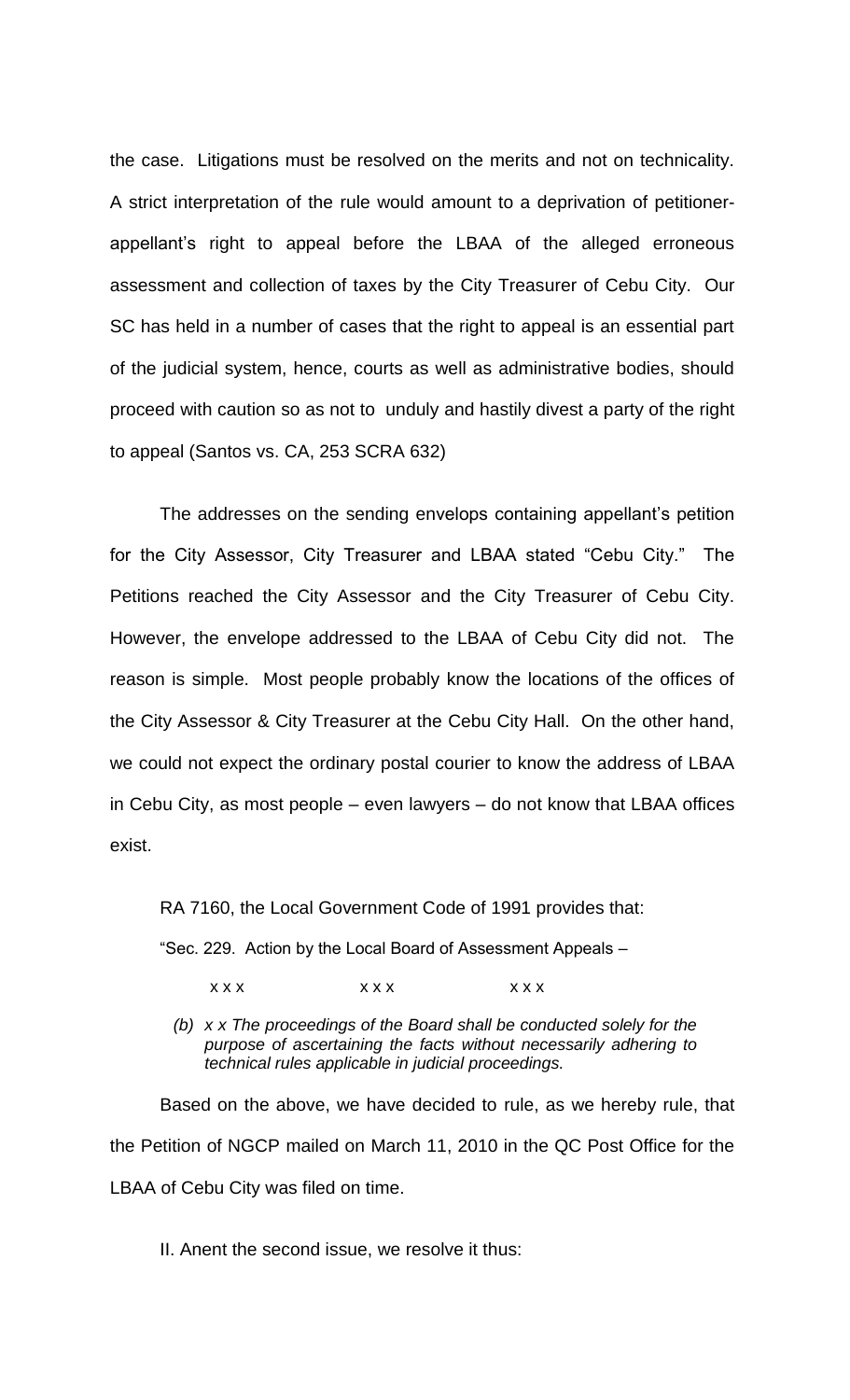the case. Litigations must be resolved on the merits and not on technicality. A strict interpretation of the rule would amount to a deprivation of petitionerappellant's right to appeal before the LBAA of the alleged erroneous assessment and collection of taxes by the City Treasurer of Cebu City. Our SC has held in a number of cases that the right to appeal is an essential part of the judicial system, hence, courts as well as administrative bodies, should proceed with caution so as not to unduly and hastily divest a party of the right to appeal (Santos vs. CA, 253 SCRA 632)

The addresses on the sending envelops containing appellant's petition for the City Assessor, City Treasurer and LBAA stated "Cebu City." The Petitions reached the City Assessor and the City Treasurer of Cebu City. However, the envelope addressed to the LBAA of Cebu City did not. The reason is simple. Most people probably know the locations of the offices of the City Assessor & City Treasurer at the Cebu City Hall. On the other hand, we could not expect the ordinary postal courier to know the address of LBAA in Cebu City, as most people – even lawyers – do not know that LBAA offices exist.

RA 7160, the Local Government Code of 1991 provides that: "Sec. 229. Action by the Local Board of Assessment Appeals –

 $\begin{array}{ccc} \times \times \times & \times \end{array}$ 

*(b) x x The proceedings of the Board shall be conducted solely for the purpose of ascertaining the facts without necessarily adhering to technical rules applicable in judicial proceedings.*

Based on the above, we have decided to rule, as we hereby rule, that the Petition of NGCP mailed on March 11, 2010 in the QC Post Office for the LBAA of Cebu City was filed on time.

II. Anent the second issue, we resolve it thus: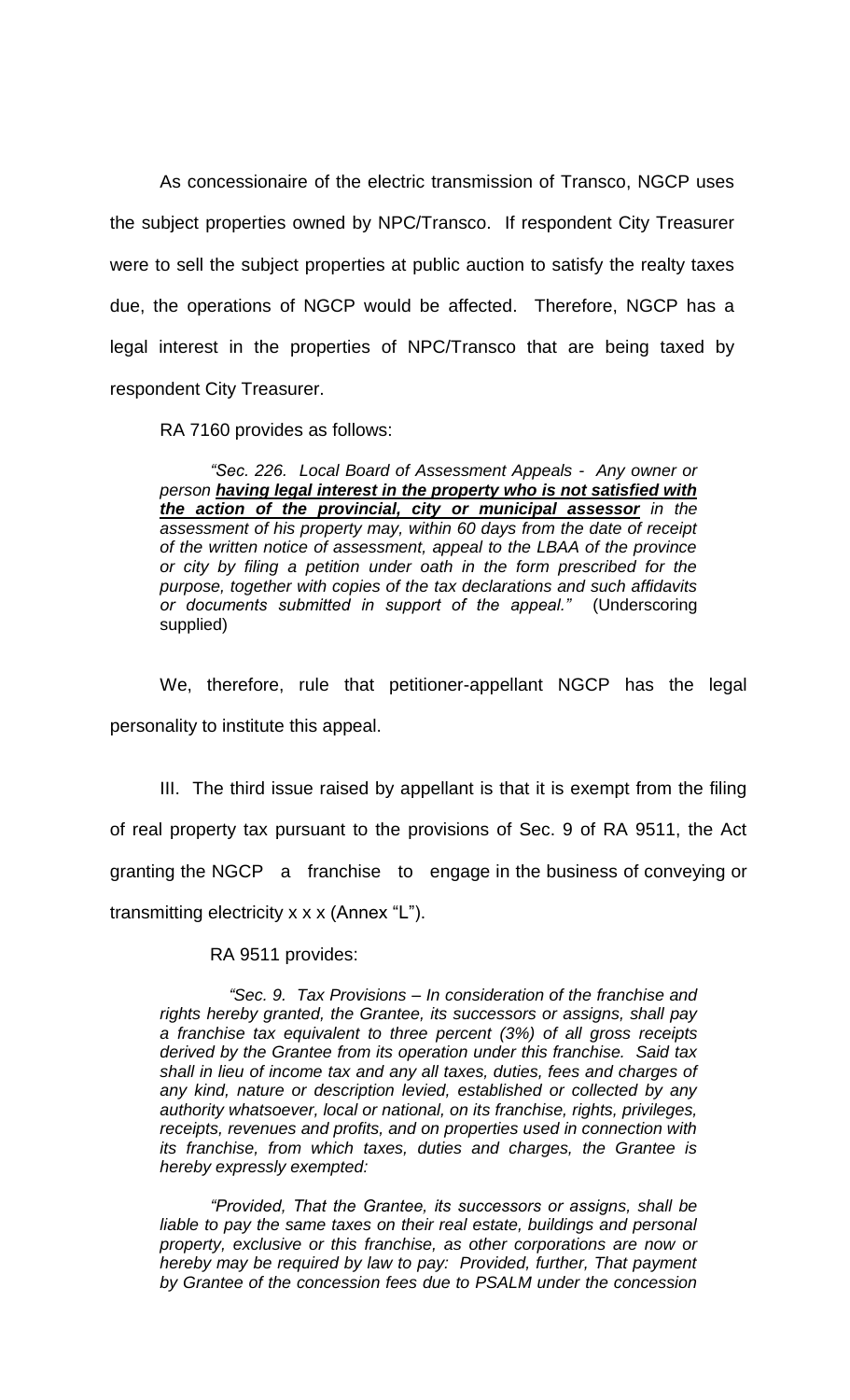As concessionaire of the electric transmission of Transco, NGCP uses the subject properties owned by NPC/Transco. If respondent City Treasurer were to sell the subject properties at public auction to satisfy the realty taxes due, the operations of NGCP would be affected. Therefore, NGCP has a legal interest in the properties of NPC/Transco that are being taxed by respondent City Treasurer.

RA 7160 provides as follows:

*"Sec. 226. Local Board of Assessment Appeals - Any owner or person having legal interest in the property who is not satisfied with the action of the provincial, city or municipal assessor in the assessment of his property may, within 60 days from the date of receipt of the written notice of assessment, appeal to the LBAA of the province or city by filing a petition under oath in the form prescribed for the purpose, together with copies of the tax declarations and such affidavits or documents submitted in support of the appeal."* (Underscoring supplied)

We, therefore, rule that petitioner-appellant NGCP has the legal personality to institute this appeal.

III. The third issue raised by appellant is that it is exempt from the filing of real property tax pursuant to the provisions of Sec. 9 of RA 9511, the Act granting the NGCP a franchise to engage in the business of conveying or transmitting electricity x x x (Annex "L").

RA 9511 provides:

 *"Sec. 9. Tax Provisions – In consideration of the franchise and rights hereby granted, the Grantee, its successors or assigns, shall pay a franchise tax equivalent to three percent (3%) of all gross receipts derived by the Grantee from its operation under this franchise. Said tax shall in lieu of income tax and any all taxes, duties, fees and charges of any kind, nature or description levied, established or collected by any authority whatsoever, local or national, on its franchise, rights, privileges, receipts, revenues and profits, and on properties used in connection with its franchise, from which taxes, duties and charges, the Grantee is hereby expressly exempted:*

*"Provided, That the Grantee, its successors or assigns, shall be*  liable to pay the same taxes on their real estate, buildings and personal *property, exclusive or this franchise, as other corporations are now or hereby may be required by law to pay: Provided, further, That payment by Grantee of the concession fees due to PSALM under the concession*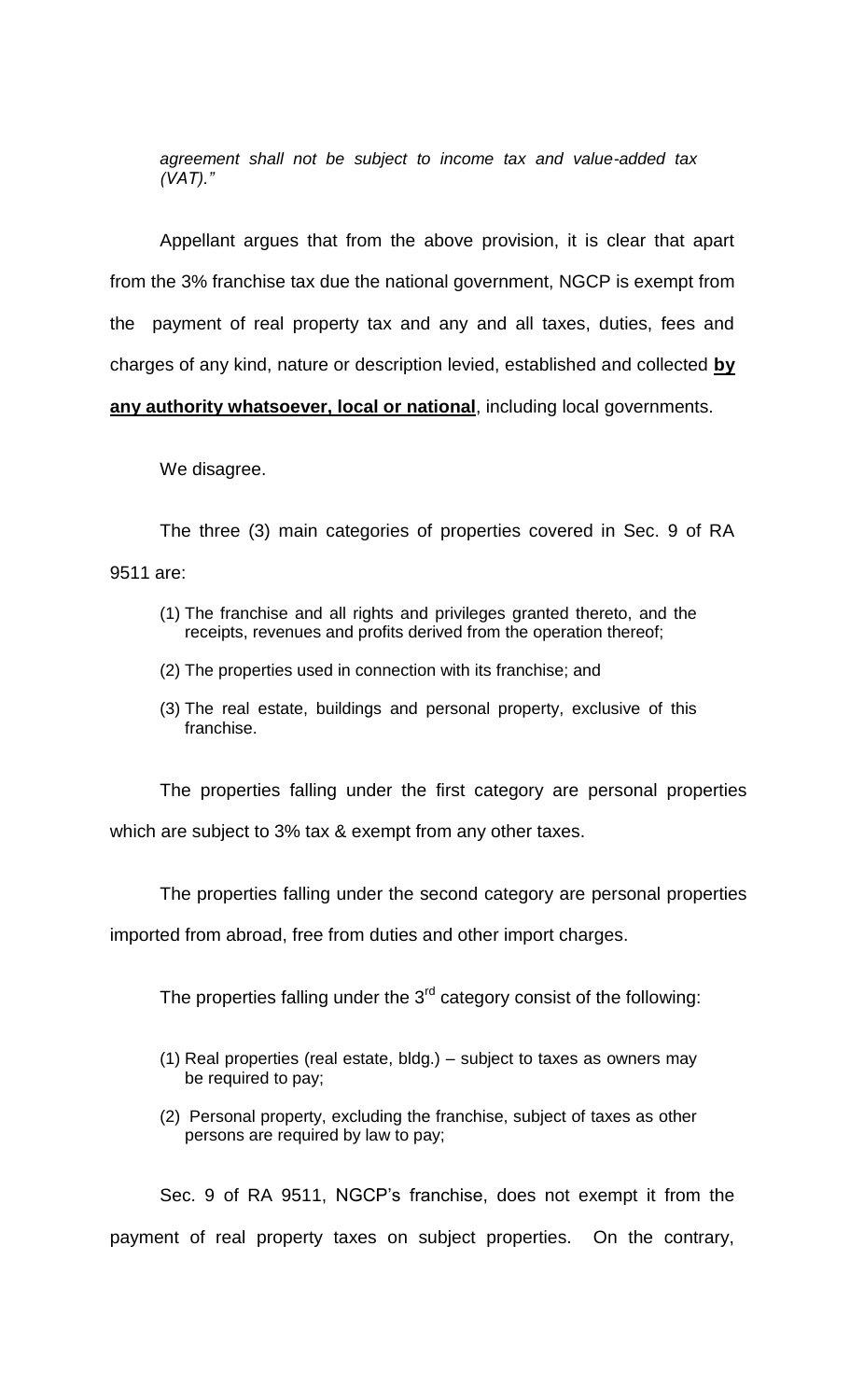*agreement shall not be subject to income tax and value-added tax (VAT)."*

Appellant argues that from the above provision, it is clear that apart from the 3% franchise tax due the national government, NGCP is exempt from the payment of real property tax and any and all taxes, duties, fees and charges of any kind, nature or description levied, established and collected **by any authority whatsoever, local or national**, including local governments.

We disagree.

The three (3) main categories of properties covered in Sec. 9 of RA 9511 are:

- (1) The franchise and all rights and privileges granted thereto, and the receipts, revenues and profits derived from the operation thereof;
- (2) The properties used in connection with its franchise; and
- (3) The real estate, buildings and personal property, exclusive of this franchise.

The properties falling under the first category are personal properties which are subject to 3% tax & exempt from any other taxes.

The properties falling under the second category are personal properties

imported from abroad, free from duties and other import charges.

The properties falling under the  $3<sup>rd</sup>$  category consist of the following:

- (1) Real properties (real estate, bldg.) subject to taxes as owners may be required to pay;
- (2) Personal property, excluding the franchise, subject of taxes as other persons are required by law to pay;

Sec. 9 of RA 9511, NGCP's franchise, does not exempt it from the payment of real property taxes on subject properties. On the contrary,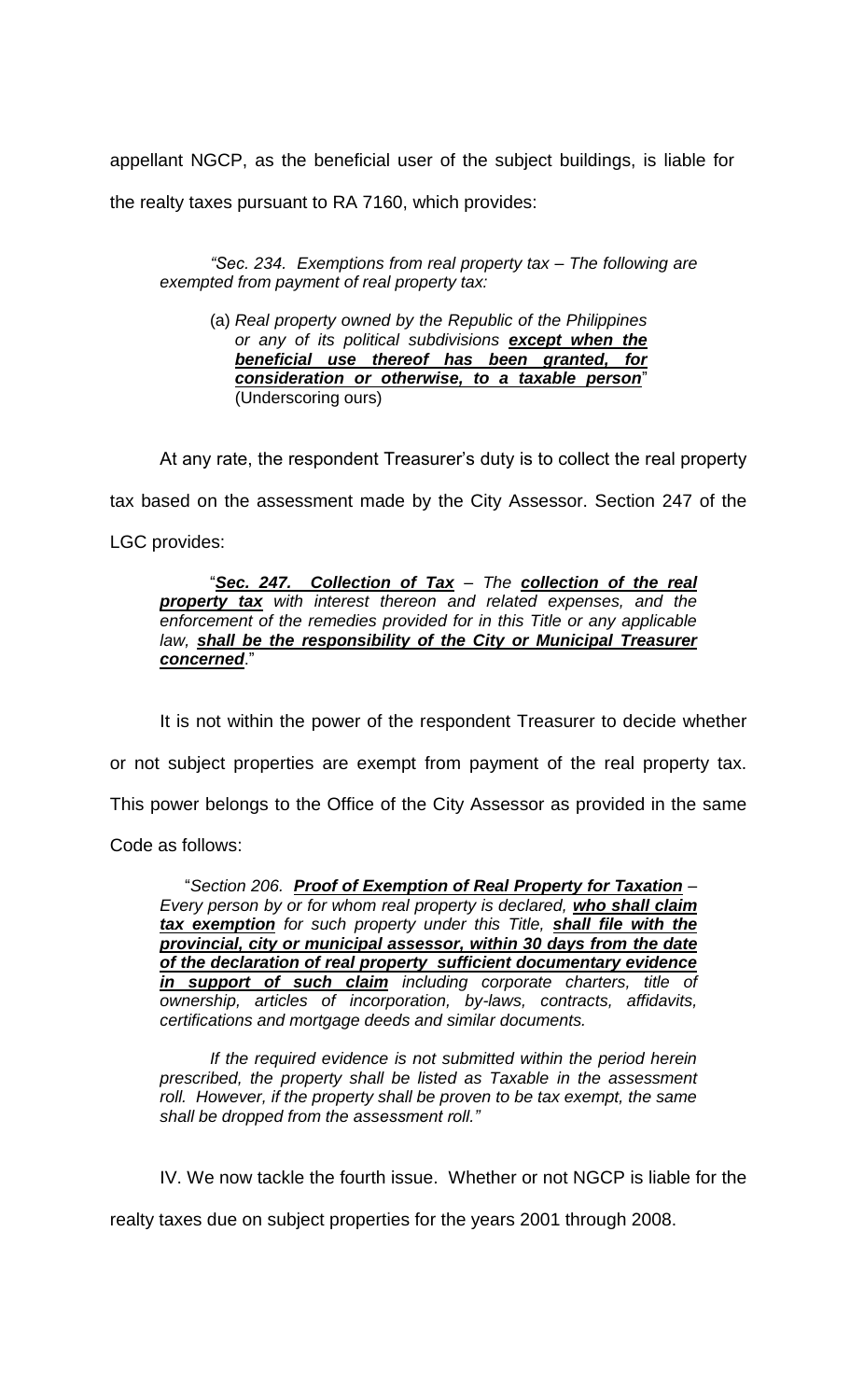appellant NGCP, as the beneficial user of the subject buildings, is liable for

the realty taxes pursuant to RA 7160, which provides:

*"Sec. 234. Exemptions from real property tax – The following are exempted from payment of real property tax:*

(a) *Real property owned by the Republic of the Philippines or any of its political subdivisions except when the beneficial use thereof has been granted, for consideration or otherwise, to a taxable person*" (Underscoring ours)

At any rate, the respondent Treasurer's duty is to collect the real property tax based on the assessment made by the City Assessor. Section 247 of the LGC provides:

"*Sec. 247. Collection of Tax* – *The collection of the real property tax with interest thereon and related expenses, and the enforcement of the remedies provided for in this Title or any applicable*  law, shall be the responsibility of the City or Municipal Treasurer *concerned*."

It is not within the power of the respondent Treasurer to decide whether or not subject properties are exempt from payment of the real property tax. This power belongs to the Office of the City Assessor as provided in the same Code as follows:

 "*Section 206. Proof of Exemption of Real Property for Taxation – Every person by or for whom real property is declared, who shall claim tax exemption for such property under this Title, shall file with the provincial, city or municipal assessor, within 30 days from the date of the declaration of real property sufficient documentary evidence in support of such claim including corporate charters, title of ownership, articles of incorporation, by-laws, contracts, affidavits, certifications and mortgage deeds and similar documents.*

*If the required evidence is not submitted within the period herein prescribed, the property shall be listed as Taxable in the assessment*  roll. However, if the property shall be proven to be tax exempt, the same *shall be dropped from the assessment roll."*

IV. We now tackle the fourth issue. Whether or not NGCP is liable for the

realty taxes due on subject properties for the years 2001 through 2008.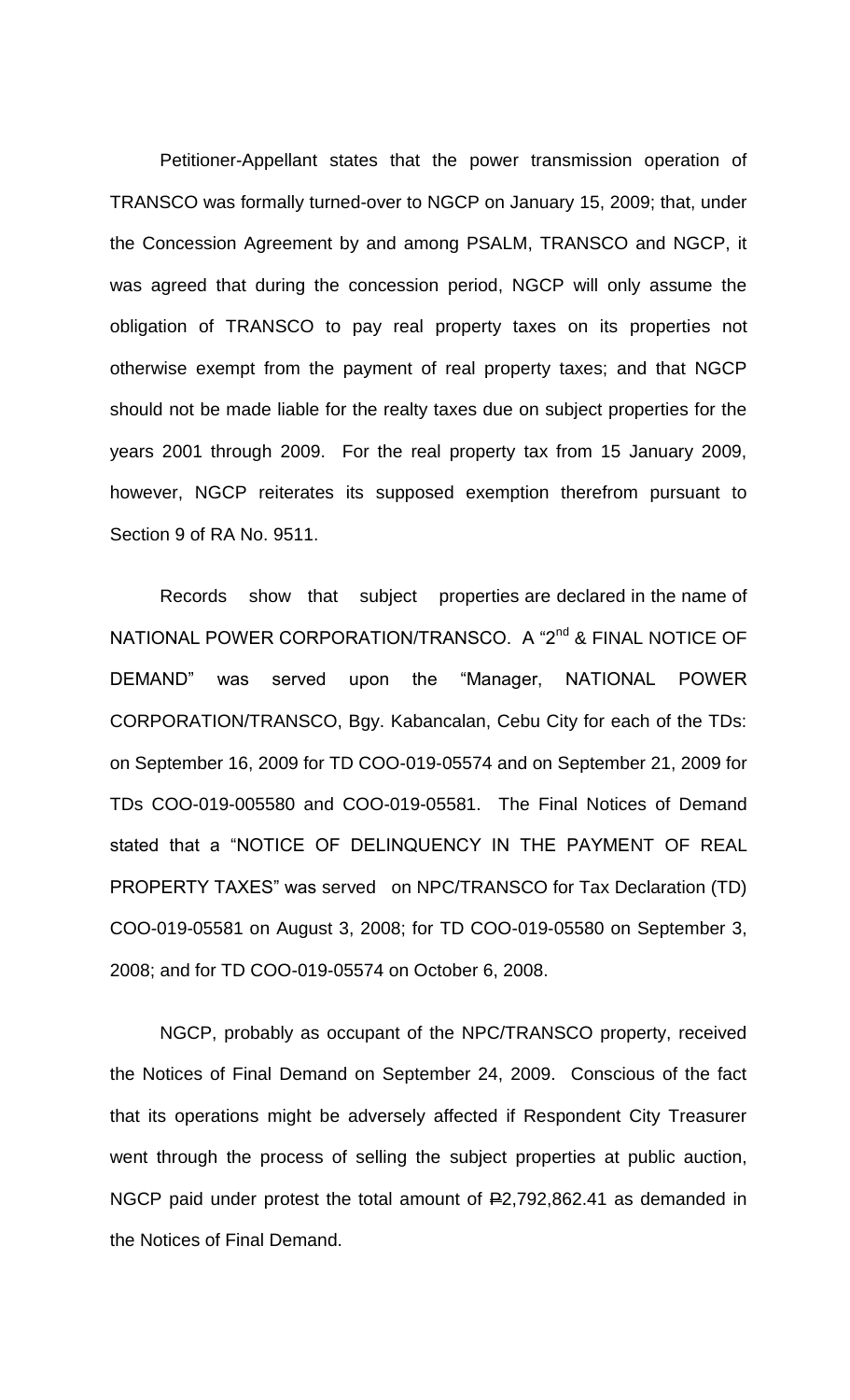Petitioner-Appellant states that the power transmission operation of TRANSCO was formally turned-over to NGCP on January 15, 2009; that, under the Concession Agreement by and among PSALM, TRANSCO and NGCP, it was agreed that during the concession period, NGCP will only assume the obligation of TRANSCO to pay real property taxes on its properties not otherwise exempt from the payment of real property taxes; and that NGCP should not be made liable for the realty taxes due on subject properties for the years 2001 through 2009. For the real property tax from 15 January 2009, however, NGCP reiterates its supposed exemption therefrom pursuant to Section 9 of RA No. 9511.

Records show that subject properties are declared in the name of NATIONAL POWER CORPORATION/TRANSCO. A "2<sup>nd</sup> & FINAL NOTICE OF DEMAND" was served upon the "Manager, NATIONAL POWER CORPORATION/TRANSCO, Bgy. Kabancalan, Cebu City for each of the TDs: on September 16, 2009 for TD COO-019-05574 and on September 21, 2009 for TDs COO-019-005580 and COO-019-05581. The Final Notices of Demand stated that a "NOTICE OF DELINQUENCY IN THE PAYMENT OF REAL PROPERTY TAXES" was served on NPC/TRANSCO for Tax Declaration (TD) COO-019-05581 on August 3, 2008; for TD COO-019-05580 on September 3, 2008; and for TD COO-019-05574 on October 6, 2008.

NGCP, probably as occupant of the NPC/TRANSCO property, received the Notices of Final Demand on September 24, 2009. Conscious of the fact that its operations might be adversely affected if Respondent City Treasurer went through the process of selling the subject properties at public auction, NGCP paid under protest the total amount of  $E2,792,862.41$  as demanded in the Notices of Final Demand.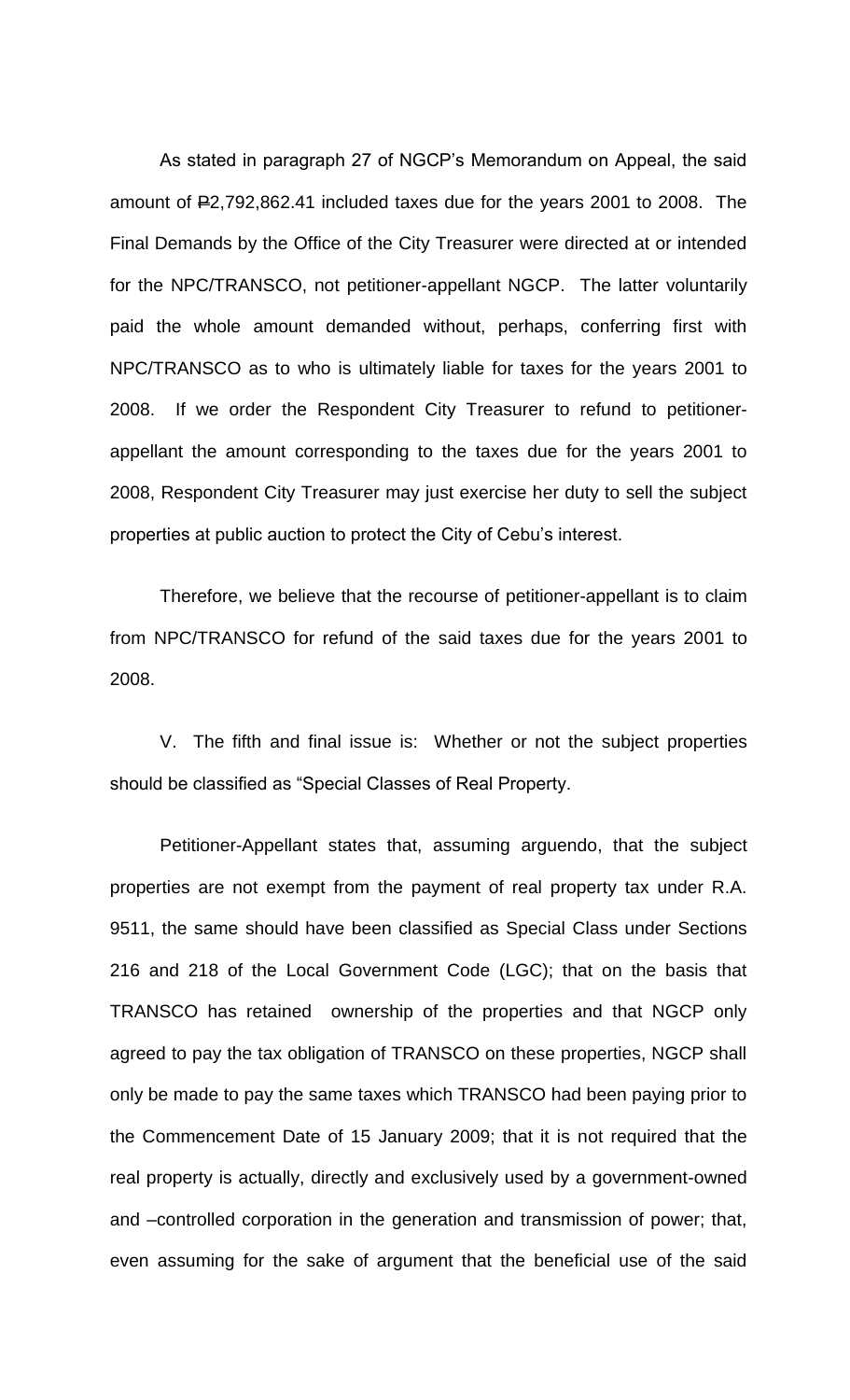As stated in paragraph 27 of NGCP's Memorandum on Appeal, the said amount of P2,792,862.41 included taxes due for the years 2001 to 2008. The Final Demands by the Office of the City Treasurer were directed at or intended for the NPC/TRANSCO, not petitioner-appellant NGCP. The latter voluntarily paid the whole amount demanded without, perhaps, conferring first with NPC/TRANSCO as to who is ultimately liable for taxes for the years 2001 to 2008. If we order the Respondent City Treasurer to refund to petitionerappellant the amount corresponding to the taxes due for the years 2001 to 2008, Respondent City Treasurer may just exercise her duty to sell the subject properties at public auction to protect the City of Cebu's interest.

Therefore, we believe that the recourse of petitioner-appellant is to claim from NPC/TRANSCO for refund of the said taxes due for the years 2001 to 2008.

V. The fifth and final issue is: Whether or not the subject properties should be classified as "Special Classes of Real Property.

Petitioner-Appellant states that, assuming arguendo, that the subject properties are not exempt from the payment of real property tax under R.A. 9511, the same should have been classified as Special Class under Sections 216 and 218 of the Local Government Code (LGC); that on the basis that TRANSCO has retained ownership of the properties and that NGCP only agreed to pay the tax obligation of TRANSCO on these properties, NGCP shall only be made to pay the same taxes which TRANSCO had been paying prior to the Commencement Date of 15 January 2009; that it is not required that the real property is actually, directly and exclusively used by a government-owned and –controlled corporation in the generation and transmission of power; that, even assuming for the sake of argument that the beneficial use of the said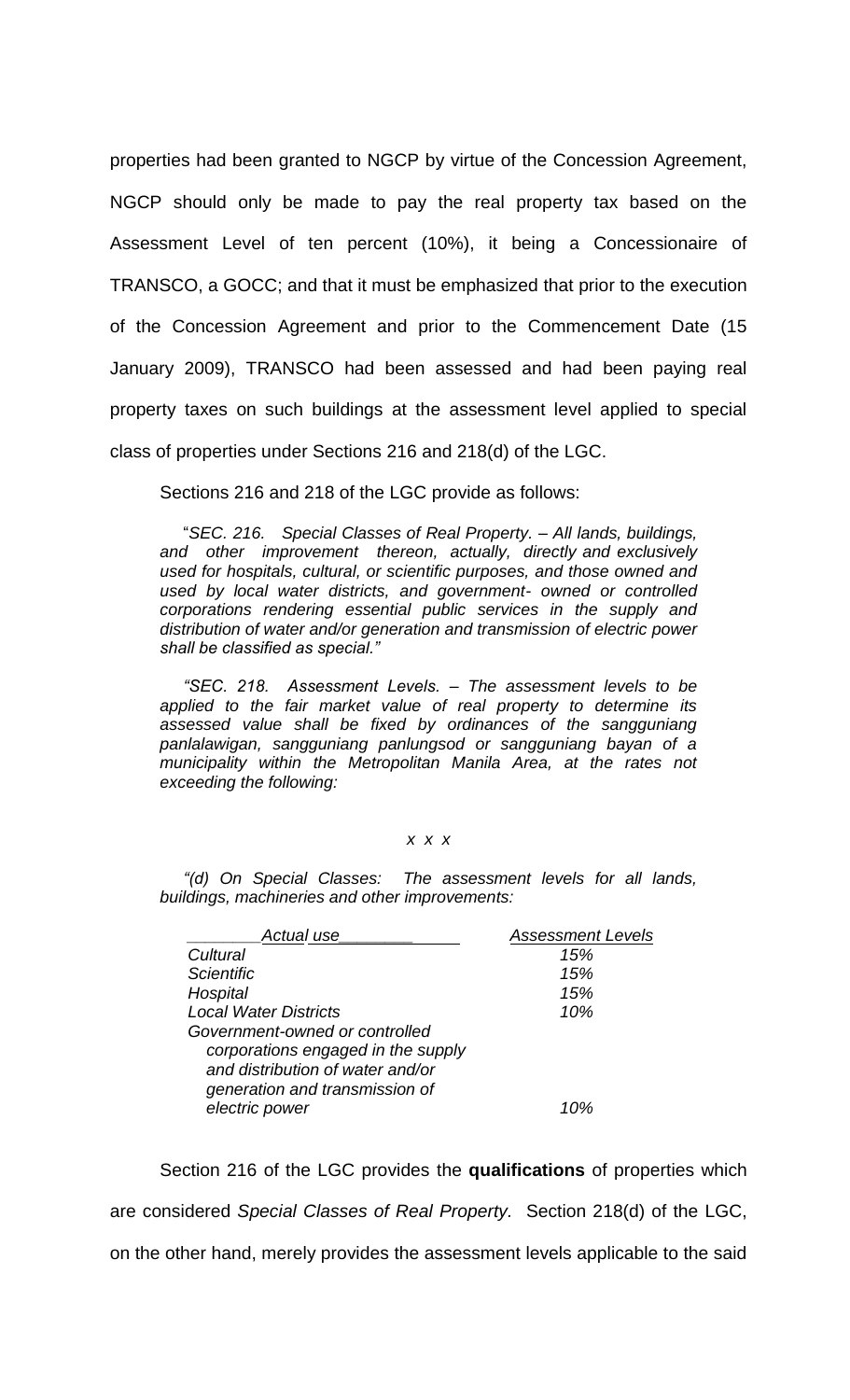properties had been granted to NGCP by virtue of the Concession Agreement, NGCP should only be made to pay the real property tax based on the Assessment Level of ten percent (10%), it being a Concessionaire of TRANSCO, a GOCC; and that it must be emphasized that prior to the execution of the Concession Agreement and prior to the Commencement Date (15 January 2009), TRANSCO had been assessed and had been paying real property taxes on such buildings at the assessment level applied to special class of properties under Sections 216 and 218(d) of the LGC.

Sections 216 and 218 of the LGC provide as follows:

 "*SEC. 216. Special Classes of Real Property.* – *All lands, buildings, and other improvement thereon, actually, directly and exclusively used for hospitals, cultural, or scientific purposes, and those owned and used by local water districts, and government- owned or controlled corporations rendering essential public services in the supply and distribution of water and/or generation and transmission of electric power shall be classified as special."*

 *"SEC. 218. Assessment Levels. – The assessment levels to be applied to the fair market value of real property to determine its assessed value shall be fixed by ordinances of the sangguniang panlalawigan, sangguniang panlungsod or sangguniang bayan of a municipality within the Metropolitan Manila Area, at the rates not exceeding the following:*

## *x x x*

 *"(d) On Special Classes: The assessment levels for all lands, buildings, machineries and other improvements:*

| Actual use                                                                                                                                 | <b>Assessment Levels</b> |  |
|--------------------------------------------------------------------------------------------------------------------------------------------|--------------------------|--|
| Cultural                                                                                                                                   | 15%                      |  |
| <b>Scientific</b>                                                                                                                          | 15%                      |  |
| Hospital                                                                                                                                   | 15%                      |  |
| <b>Local Water Districts</b>                                                                                                               | 10%                      |  |
| Government-owned or controlled<br>corporations engaged in the supply<br>and distribution of water and/or<br>generation and transmission of |                          |  |
| electric power                                                                                                                             | 1 በ%                     |  |

Section 216 of the LGC provides the **qualifications** of properties which are considered *Special Classes of Real Property.* Section 218(d) of the LGC, on the other hand, merely provides the assessment levels applicable to the said